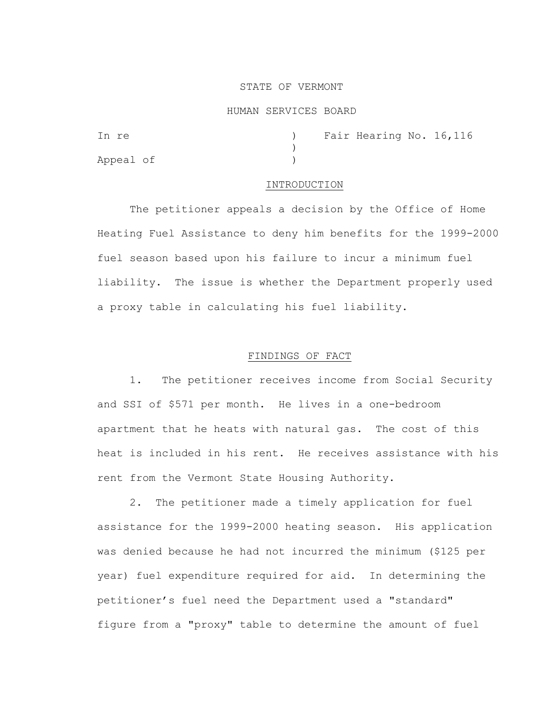### STATE OF VERMONT

#### HUMAN SERVICES BOARD

| In re     |  | ) Fair Hearing No. 16, 116 |  |
|-----------|--|----------------------------|--|
|           |  |                            |  |
| Appeal of |  |                            |  |

### INTRODUCTION

The petitioner appeals a decision by the Office of Home Heating Fuel Assistance to deny him benefits for the 1999-2000 fuel season based upon his failure to incur a minimum fuel liability. The issue is whether the Department properly used a proxy table in calculating his fuel liability.

# FINDINGS OF FACT

 1. The petitioner receives income from Social Security and SSI of \$571 per month. He lives in a one-bedroom apartment that he heats with natural gas. The cost of this heat is included in his rent. He receives assistance with his rent from the Vermont State Housing Authority.

 2. The petitioner made a timely application for fuel assistance for the 1999-2000 heating season. His application was denied because he had not incurred the minimum (\$125 per year) fuel expenditure required for aid. In determining the petitioner's fuel need the Department used a "standard" figure from a "proxy" table to determine the amount of fuel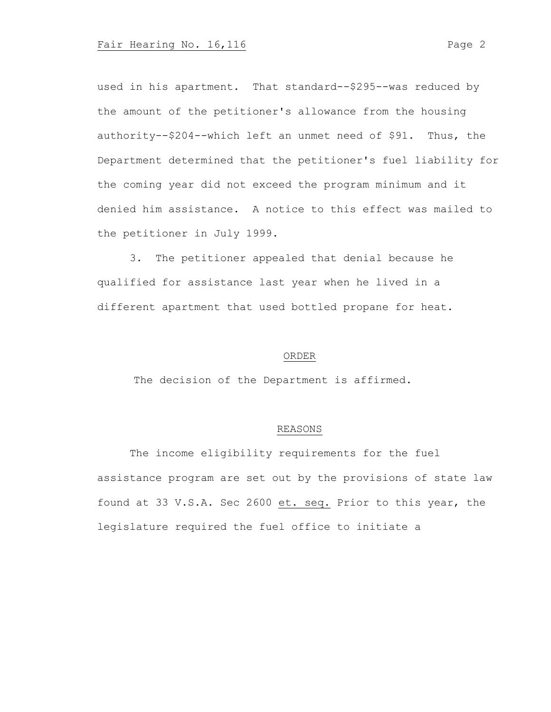used in his apartment. That standard--\$295--was reduced by the amount of the petitioner's allowance from the housing authority--\$204--which left an unmet need of \$91. Thus, the Department determined that the petitioner's fuel liability for the coming year did not exceed the program minimum and it denied him assistance. A notice to this effect was mailed to the petitioner in July 1999.

 3. The petitioner appealed that denial because he qualified for assistance last year when he lived in a different apartment that used bottled propane for heat.

## ORDER

The decision of the Department is affirmed.

### REASONS

The income eligibility requirements for the fuel assistance program are set out by the provisions of state law found at 33 V.S.A. Sec 2600 et. seq. Prior to this year, the legislature required the fuel office to initiate a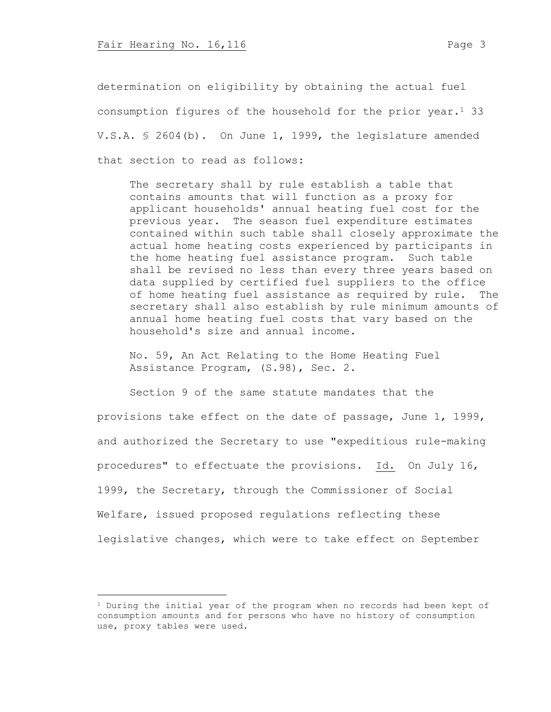determination on eligibility by obtaining the actual fuel consumption figures of the household for the prior year. $<sup>1</sup>$  33</sup> V.S.A. § 2604(b). On June 1, 1999, the legislature amended that section to read as follows:

The secretary shall by rule establish a table that contains amounts that will function as a proxy for applicant households' annual heating fuel cost for the previous year. The season fuel expenditure estimates contained within such table shall closely approximate the actual home heating costs experienced by participants in the home heating fuel assistance program. Such table shall be revised no less than every three years based on data supplied by certified fuel suppliers to the office of home heating fuel assistance as required by rule. The secretary shall also establish by rule minimum amounts of annual home heating fuel costs that vary based on the household's size and annual income.

No. 59, An Act Relating to the Home Heating Fuel Assistance Program, (S.98), Sec. 2.

Section 9 of the same statute mandates that the provisions take effect on the date of passage, June 1, 1999, and authorized the Secretary to use "expeditious rule-making procedures" to effectuate the provisions. Id. On July 16, 1999, the Secretary, through the Commissioner of Social Welfare, issued proposed regulations reflecting these legislative changes, which were to take effect on September

 $1$  During the initial year of the program when no records had been kept of consumption amounts and for persons who have no history of consumption use, proxy tables were used.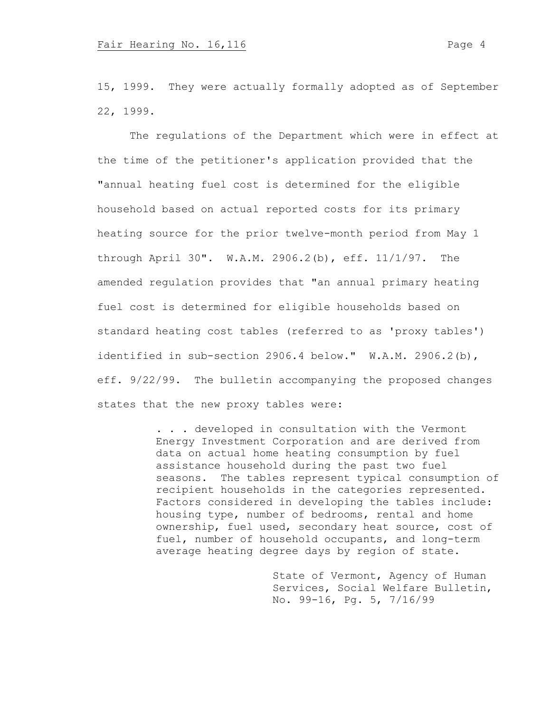15, 1999. They were actually formally adopted as of September 22, 1999.

The regulations of the Department which were in effect at the time of the petitioner's application provided that the "annual heating fuel cost is determined for the eligible household based on actual reported costs for its primary heating source for the prior twelve-month period from May 1 through April 30". W.A.M. 2906.2(b), eff. 11/1/97. The amended regulation provides that "an annual primary heating fuel cost is determined for eligible households based on standard heating cost tables (referred to as 'proxy tables') identified in sub-section 2906.4 below." W.A.M. 2906.2(b), eff. 9/22/99. The bulletin accompanying the proposed changes states that the new proxy tables were:

> . . . developed in consultation with the Vermont Energy Investment Corporation and are derived from data on actual home heating consumption by fuel assistance household during the past two fuel seasons. The tables represent typical consumption of recipient households in the categories represented. Factors considered in developing the tables include: housing type, number of bedrooms, rental and home ownership, fuel used, secondary heat source, cost of fuel, number of household occupants, and long-term average heating degree days by region of state.

> > State of Vermont, Agency of Human Services, Social Welfare Bulletin, No. 99-16, Pg. 5, 7/16/99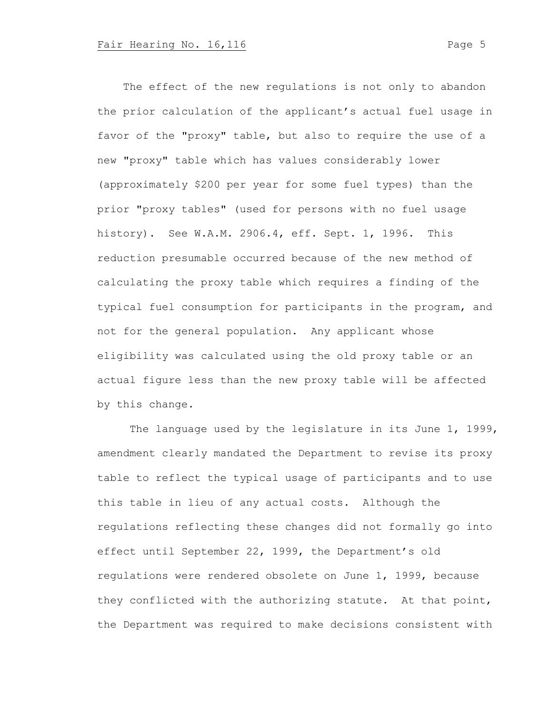The effect of the new regulations is not only to abandon the prior calculation of the applicant's actual fuel usage in favor of the "proxy" table, but also to require the use of a new "proxy" table which has values considerably lower (approximately \$200 per year for some fuel types) than the prior "proxy tables" (used for persons with no fuel usage history). See W.A.M. 2906.4, eff. Sept. 1, 1996. This reduction presumable occurred because of the new method of calculating the proxy table which requires a finding of the typical fuel consumption for participants in the program, and not for the general population. Any applicant whose eligibility was calculated using the old proxy table or an actual figure less than the new proxy table will be affected by this change.

The language used by the legislature in its June 1, 1999, amendment clearly mandated the Department to revise its proxy table to reflect the typical usage of participants and to use this table in lieu of any actual costs. Although the regulations reflecting these changes did not formally go into effect until September 22, 1999, the Department's old regulations were rendered obsolete on June 1, 1999, because they conflicted with the authorizing statute. At that point, the Department was required to make decisions consistent with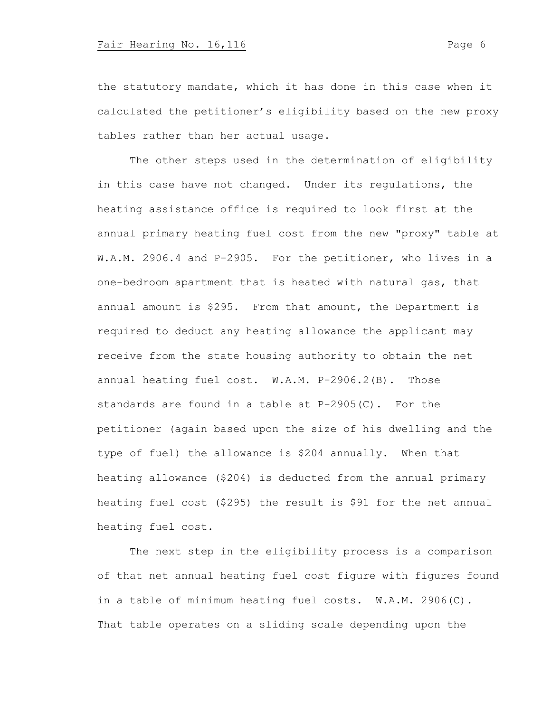the statutory mandate, which it has done in this case when it calculated the petitioner's eligibility based on the new proxy tables rather than her actual usage.

The other steps used in the determination of eligibility in this case have not changed. Under its regulations, the heating assistance office is required to look first at the annual primary heating fuel cost from the new "proxy" table at W.A.M. 2906.4 and P-2905. For the petitioner, who lives in a one-bedroom apartment that is heated with natural gas, that annual amount is \$295. From that amount, the Department is required to deduct any heating allowance the applicant may receive from the state housing authority to obtain the net annual heating fuel cost. W.A.M. P-2906.2(B). Those standards are found in a table at  $P-2905(C)$ . For the petitioner (again based upon the size of his dwelling and the type of fuel) the allowance is \$204 annually. When that heating allowance (\$204) is deducted from the annual primary heating fuel cost (\$295) the result is \$91 for the net annual heating fuel cost.

The next step in the eligibility process is a comparison of that net annual heating fuel cost figure with figures found in a table of minimum heating fuel costs. W.A.M. 2906(C). That table operates on a sliding scale depending upon the